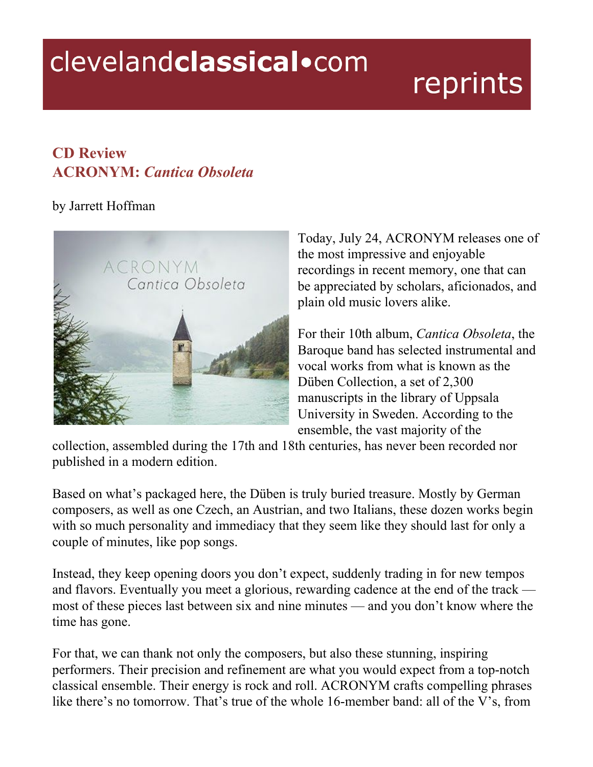## clevelandclassical.com

## reprints

## **CD Review ACRONYM:** *Cantica Obsoleta*

## by Jarrett Hoffman



Today, July 24, ACRONYM releases one of the most impressive and enjoyable recordings in recent memory, one that can be appreciated by scholars, aficionados, and plain old music lovers alike.

For their 10th album, *Cantica Obsoleta*, the Baroque band has selected instrumental and vocal works from what is known as the Düben Collection, a set of 2,300 manuscripts in the library of Uppsala University in Sweden. According to the ensemble, the vast majority of the

collection, assembled during the 17th and 18th centuries, has never been recorded nor published in a modern edition.

Based on what's packaged here, the Düben is truly buried treasure. Mostly by German composers, as well as one Czech, an Austrian, and two Italians, these dozen works begin with so much personality and immediacy that they seem like they should last for only a couple of minutes, like pop songs.

Instead, they keep opening doors you don't expect, suddenly trading in for new tempos and flavors. Eventually you meet a glorious, rewarding cadence at the end of the track most of these pieces last between six and nine minutes — and you don't know where the time has gone.

For that, we can thank not only the composers, but also these stunning, inspiring performers. Their precision and refinement are what you would expect from a top-notch classical ensemble. Their energy is rock and roll. ACRONYM crafts compelling phrases like there's no tomorrow. That's true of the whole 16-member band: all of the V's, from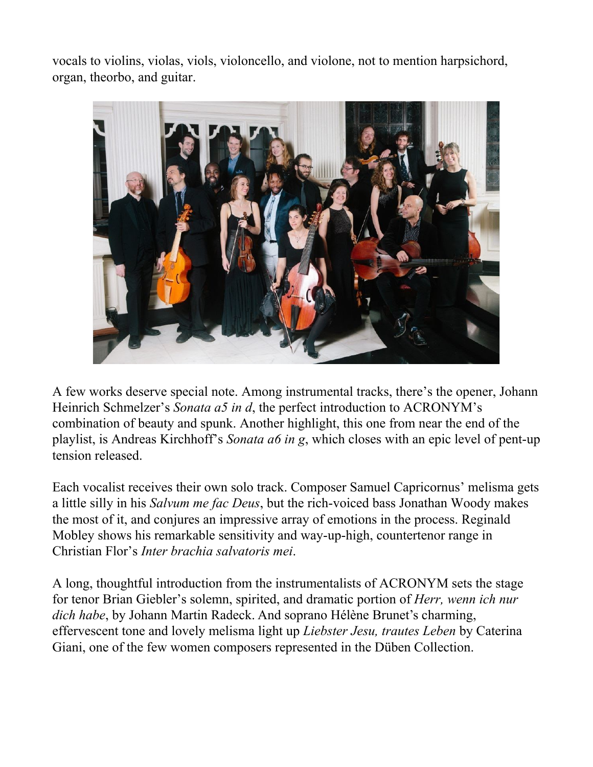vocals to violins, violas, viols, violoncello, and violone, not to mention harpsichord, organ, theorbo, and guitar.



A few works deserve special note. Among instrumental tracks, there's the opener, Johann Heinrich Schmelzer's *Sonata a5 in d*, the perfect introduction to ACRONYM's combination of beauty and spunk. Another highlight, this one from near the end of the playlist, is Andreas Kirchhoff's *Sonata a6 in g*, which closes with an epic level of pent-up tension released.

Each vocalist receives their own solo track. Composer Samuel Capricornus' melisma gets a little silly in his *Salvum me fac Deus*, but the rich-voiced bass Jonathan Woody makes the most of it, and conjures an impressive array of emotions in the process. Reginald Mobley shows his remarkable sensitivity and way-up-high, countertenor range in Christian Flor's *Inter brachia salvatoris mei*.

A long, thoughtful introduction from the instrumentalists of ACRONYM sets the stage for tenor Brian Giebler's solemn, spirited, and dramatic portion of *Herr, wenn ich nur dich habe*, by Johann Martin Radeck. And soprano Hélène Brunet's charming, effervescent tone and lovely melisma light up *Liebster Jesu, trautes Leben* by Caterina Giani, one of the few women composers represented in the Düben Collection.